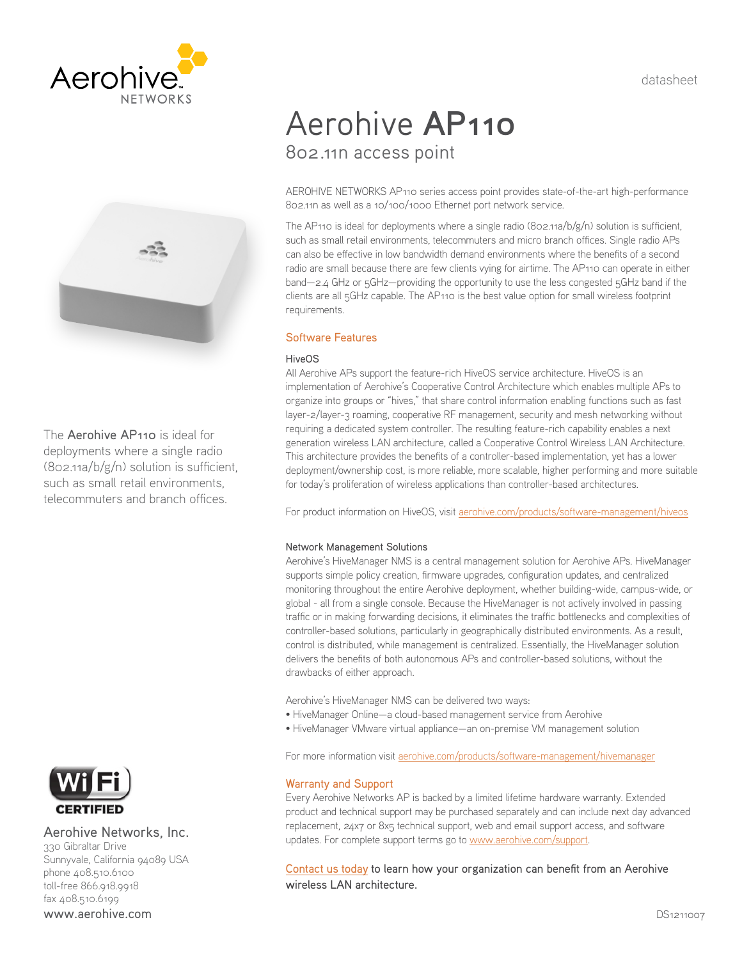datasheet





The Aerohive AP110 is ideal for deployments where a single radio (802.11a/b/g/n) solution is sufficient, such as small retail environments, telecommuters and branch offices.



Aerohive Networks, Inc.

330 Gibraltar Drive Sunnyvale, California 94089 USA phone 408.510.6100 toll-free 866.918.9918 fax 408.510.6199 www.aerohive.com

# Aerohive **AP110** 802.11n access point

AEROHIVE NETWORKS AP110 series access point provides state-of-the-art high-performance 802.11n as well as a 10/100/1000 Ethernet port network service.

The AP110 is ideal for deployments where a single radio (802.11a/b/g/n) solution is sufficient, such as small retail environments, telecommuters and micro branch offices. Single radio APs can also be effective in low bandwidth demand environments where the benefits of a second radio are small because there are few clients vying for airtime. The AP110 can operate in either band—2.4 GHz or 5GHz—providing the opportunity to use the less congested 5GHz band if the clients are all 5GHz capable. The AP110 is the best value option for small wireless footprint requirements.

## Software Features

## HiveOS

All Aerohive APs support the feature-rich HiveOS service architecture. HiveOS is an implementation of Aerohive's Cooperative Control Architecture which enables multiple APs to organize into groups or "hives," that share control information enabling functions such as fast layer-2/layer-3 roaming, cooperative RF management, security and mesh networking without requiring a dedicated system controller. The resulting feature-rich capability enables a next generation wireless LAN architecture, called a Cooperative Control Wireless LAN Architecture. This architecture provides the benefits of a controller-based implementation, yet has a lower deployment/ownership cost, is more reliable, more scalable, higher performing and more suitable for today's proliferation of wireless applications than controller-based architectures.

For product information on HiveOS, visit [aerohive.com/products/software-management/hiveos](http://www.aerohive.com/products/software-management/hiveos)

#### Network Management Solutions

Aerohive's HiveManager NMS is a central management solution for Aerohive APs. HiveManager supports simple policy creation, firmware upgrades, configuration updates, and centralized monitoring throughout the entire Aerohive deployment, whether building-wide, campus-wide, or global - all from a single console. Because the HiveManager is not actively involved in passing traffic or in making forwarding decisions, it eliminates the traffic bottlenecks and complexities of controller-based solutions, particularly in geographically distributed environments. As a result, control is distributed, while management is centralized. Essentially, the HiveManager solution delivers the benefits of both autonomous APs and controller-based solutions, without the drawbacks of either approach.

Aerohive's HiveManager NMS can be delivered two ways:

- HiveManager Online—a cloud-based management service from Aerohive
- HiveManager VMware virtual appliance—an on-premise VM management solution

For more information visit [aerohive.com/products/software-management/hivemanager](http://www.aerohive.com/products/software-management/hivemanager)

## Warranty and Support

Every Aerohive Networks AP is backed by a limited lifetime hardware warranty. Extended product and technical support may be purchased separately and can include next day advanced replacement, 24x7 or 8x5 technical support, web and email support access, and software updates. For complete support terms go to [www.aerohive.com/support](http://www.aerohive.com/support).

[Contact us today](http://www.aerohive.com/contact-us/) to learn how your organization can benefit from an Aerohive wireless LAN architecture.